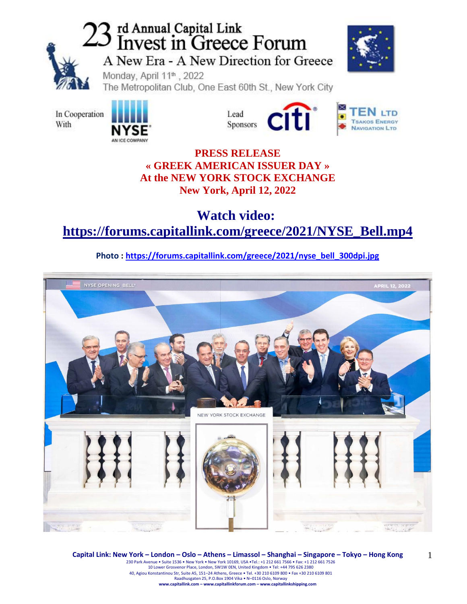

# 23 rd Annual Capital Link<br>23 Invest in Greece Forum A New Era - A New Direction for Greece



1

Monday, April 11th, 2022

The Metropolitan Club, One East 60th St., New York City

In Cooperation With





### **PRESS RELEASE « GREEK AMERICAN ISSUER DAY » At the NEW YORK STOCK EXCHANGE New York, April 12, 2022**

## **Watch video: [https://forums.capitallink.com/greece/2021/NYSE\\_Bell.mp4](https://forums.capitallink.com/greece/2021/NYSE_Bell.mp4)**

**Photo : [https://forums.capitallink.com/greece/2021/nyse\\_bell\\_300dpi.jpg](https://forums.capitallink.com/greece/2021/nyse_bell_300dpi.jpg)**



**Capital Link: New York – London – Oslo – Athens – Limassol – Shanghai – Singapore – Tokyo – Hong Kong**  230 Park Avenue • Suite 1536 • New York • New York 10169, USA •Tel.: +1 212 661 7566 • Fax: +1 212 661 7526 10 Lower Grosvenor Place, London, SW1W 0EN, United Kingdom • Tel: +44 795 626 2380 40, Agiou Konstantinou Str, Suite A5, 151–24 Athens, Greece • Tel. +30 210 6109 800 • Fax +30 210 6109 801 Raadhusgaten 25, P.O.Box 1904 Vika • N–0116 Oslo, Norway **www.capitallink.com – www.capitallinkforum.com – www.capitallinkshipping.com**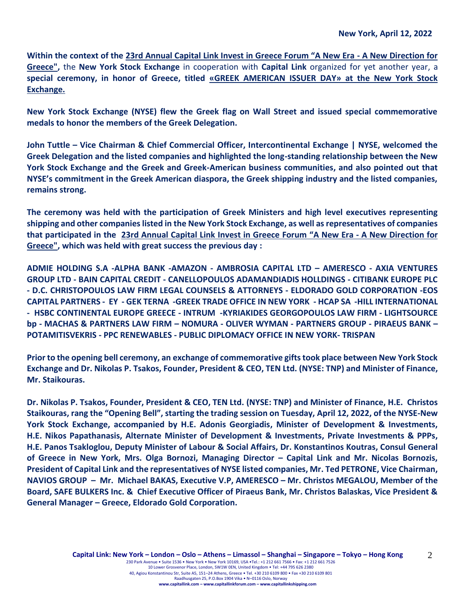**Within the context of the [23rd Annual Capital Link Invest in Greece Forum "A New Era](https://forums.capitallink.com/greece/2021/agenda.html) - A New Direction for [Greece",](https://forums.capitallink.com/greece/2021/agenda.html)** the **New York Stock Exchange** in cooperation with **Capital Link** organized for yet another year, a **special ceremony, in honor of Greece, titled «GREEK AMERICAN ISSUER DAY» at the New York Stock Exchange.** 

**New York Stock Exchange (NYSE) flew the Greek flag on Wall Street and issued special commemorative medals to honor the members of the Greek Delegation.**

**John Tuttle – Vice Chairman & Chief Commercial Officer, Intercontinental Exchange | NYSE, welcomed the Greek Delegation and the listed companies and highlighted the long-standing relationship between the New York Stock Exchange and the Greek and Greek-American business communities, and also pointed out that NYSE's commitment in the Greek American diaspora, the Greek shipping industry and the listed companies, remains strong.**

**The ceremony was held with the participation of Greek Ministers and high level executives representing shipping and other companies listed in the New York Stock Exchange, as well as representatives of companies that participated in the 23rd Annual Capital Link Invest in Greece Forum "A New Era - A New [Direction](https://forums.capitallink.com/greece/2021/agenda.html) for [Greece",](https://forums.capitallink.com/greece/2021/agenda.html) which was held with great success the previous day :** 

**ADMIE HOLDING S.A -ALPHA BANK -AMAZON - AMBROSIA CAPITAL LTD – AMERESCO - AXIA VENTURES GROUP LTD - BAIN CAPITAL CREDIT - CANELLOPOULOS ADAMANDIADIS HOLLDINGS - CITIBANK EUROPE PLC - D.C. CHRISTOPOULOS LAW FIRM LEGAL COUNSELS & ATTORNEYS - ELDORADO GOLD CORPORATION -EOS CAPITAL PARTNERS - EY - GEK TERNA -GREEK TRADE OFFICE IN NEW YORK - HCAP SA -HILL INTERNATIONAL - HSBC CONTINENTAL EUROPE GREECE - INTRUM -KYRIAKIDES GEORGOPOULOS LAW FIRM - LIGHTSOURCE bp - MACHAS & PARTNERS LAW FIRM – NOMURA - OLIVER WYMAN - PARTNERS GROUP - PIRAEUS BANK – POTAMITISVEKRIS - PPC RENEWABLES - PUBLIC DIPLOMACY OFFICE IN NEW YORK- TRISPAN**

**Prior to the opening bell ceremony, an exchange of commemorative gifts took place between New York Stock Exchange and Dr. Nikolas P. Tsakos, Founder, President & CEO, TEN Ltd. (NYSE: TNP) and Minister of Finance, Mr. Staikouras.**

**Dr. Nikolas P. Tsakos, Founder, President & CEO, TEN Ltd. (NYSE: TNP) and Minister of Finance, H.E. Christos Staikouras, rang the "Opening Bell", starting the trading session on Tuesday, April 12, 2022, of the NYSE-New York Stock Exchange, accompanied by H.E. Adonis Georgiadis, Minister of Development & Investments, H.E. Nikos Papathanasis, Alternate Minister of Development & Investments, Private Investments & PPPs, H.E. Panos Tsakloglou, Deputy Minister of Labour & Social Affairs, Dr. Konstantinos Koutras, Consul General of Greece in New York, Mrs. Olga Bornozi, Managing Director – Capital Link and Mr. Nicolas Bornozis, President of Capital Link and the representatives of NYSE listed companies, Mr. Τed PETRONE, Vice Chairman, NAVIOS GROUP – Mr. Michael BAKAS, Executive V.P, AMERESCO – Mr. Christos MEGALOU, Member of the Board, SAFE BULKERS Inc. & Chief Executive Officer of Piraeus Bank, Mr. Christos Balaskas, Vice President & General Manager – Greece, Eldorado Gold Corporation.**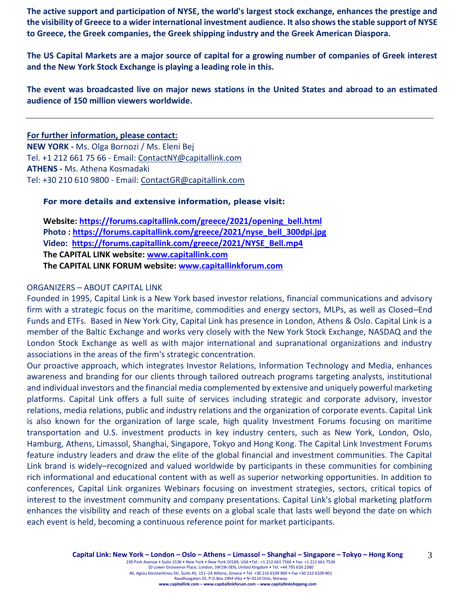**The active support and participation of NYSE, the world's largest stock exchange, enhances the prestige and the visibility of Greece to a wider international investment audience. It also shows the stable support of NYSE to Greece, the Greek companies, the Greek shipping industry and the Greek American Diaspora.** 

**The US Capital Markets are a major source of capital for a growing number of companies of Greek interest and the New York Stock Exchange is playing a leading role in this.**

**The event was broadcasted live on major news stations in the United States and abroad to an estimated audience of 150 million viewers worldwide.**

#### **For further information, please contact:**

**NEW YORK -** Ms. Olga Bornozi / Ms. Eleni Bej Tel. +1 212 661 75 66 - Email: [ContactNY@capitallink.com](mailto:ContactNY@capitallink.com) **ATHENS -** Ms. Athena Kosmadaki Tel: +30 210 610 9800 - Email: [ContactGR@capitallink.com](mailto:ContactGR@capitallink.com)

#### **For more details and extensive information, please visit:**

**Website: [https://forums.capitallink.com/greece/2021/opening\\_bell.html](https://forums.capitallink.com/greece/2021/opening_bell.html) Photo : [https://forums.capitallink.com/greece/2021/nyse\\_bell\\_300dpi.jpg](https://forums.capitallink.com/greece/2021/nyse_bell_300dpi.jpg) Video: [https://forums.capitallink.com/greece/2021/NYSE\\_Bell.mp4](https://forums.capitallink.com/greece/2021/NYSE_Bell.mp4) The CAPITAL LINK website: [www.capitallink.com](http://www.capitallink.com/) The CAPITAL LINK FORUM website: [www.capitallinkforum.com](http://www.capitallinkforum.com/)**

#### ORGANIZERS – ABOUT CAPITAL LINK

Founded in 1995, Capital Link is a New York based investor relations, financial communications and advisory firm with a strategic focus on the maritime, commodities and energy sectors, MLPs, as well as Closed–End Funds and ETFs. Based in New York City, Capital Link has presence in London, Athens & Oslo. Capital Link is a member of the Baltic Exchange and works very closely with the New York Stock Exchange, NASDAQ and the London Stock Exchange as well as with major international and supranational organizations and industry associations in the areas of the firm's strategic concentration.

Our proactive approach, which integrates Investor Relations, Information Technology and Media, enhances awareness and branding for our clients through tailored outreach programs targeting analysts, institutional and individual investors and the financial media complemented by extensive and uniquely powerful marketing platforms. Capital Link offers a full suite of services including strategic and corporate advisory, investor relations, media relations, public and industry relations and the organization of corporate events. Capital Link is also known for the organization of large scale, high quality Investment Forums focusing on maritime transportation and U.S. investment products in key industry centers, such as New York, London, Oslo, Hamburg, Athens, Limassol, Shanghai, Singapore, Tokyo and Hong Kong. The Capital Link Investment Forums feature industry leaders and draw the elite of the global financial and investment communities. The Capital Link brand is widely–recognized and valued worldwide by participants in these communities for combining rich informational and educational content with as well as superior networking opportunities. In addition to conferences, Capital Link organizes Webinars focusing on investment strategies, sectors, critical topics of interest to the investment community and company presentations. Capital Link's global marketing platform enhances the visibility and reach of these events on a global scale that lasts well beyond the date on which each event is held, becoming a continuous reference point for market participants.